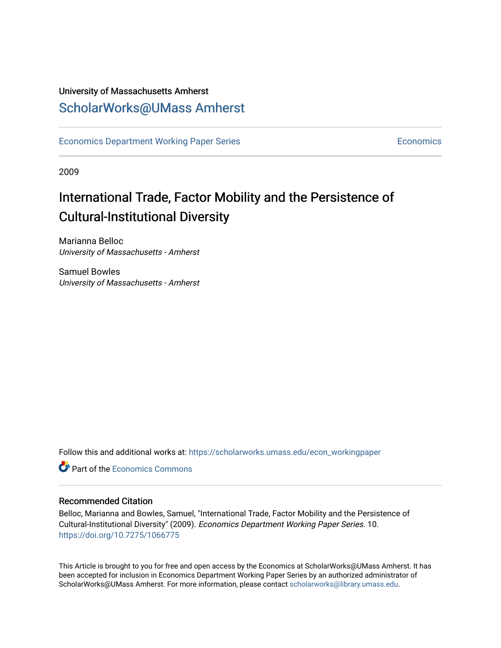### University of Massachusetts Amherst [ScholarWorks@UMass Amherst](https://scholarworks.umass.edu/)

[Economics Department Working Paper Series](https://scholarworks.umass.edu/econ_workingpaper) **Economics** [Economics](https://scholarworks.umass.edu/economics) Economics

2009

### International Trade, Factor Mobility and the Persistence of Cultural-Institutional Diversity

Marianna Belloc University of Massachusetts - Amherst

Samuel Bowles University of Massachusetts - Amherst

Follow this and additional works at: [https://scholarworks.umass.edu/econ\\_workingpaper](https://scholarworks.umass.edu/econ_workingpaper?utm_source=scholarworks.umass.edu%2Fecon_workingpaper%2F10&utm_medium=PDF&utm_campaign=PDFCoverPages) 

**C** Part of the [Economics Commons](http://network.bepress.com/hgg/discipline/340?utm_source=scholarworks.umass.edu%2Fecon_workingpaper%2F10&utm_medium=PDF&utm_campaign=PDFCoverPages)

#### Recommended Citation

Belloc, Marianna and Bowles, Samuel, "International Trade, Factor Mobility and the Persistence of Cultural-Institutional Diversity" (2009). Economics Department Working Paper Series. 10. <https://doi.org/10.7275/1066775>

This Article is brought to you for free and open access by the Economics at ScholarWorks@UMass Amherst. It has been accepted for inclusion in Economics Department Working Paper Series by an authorized administrator of ScholarWorks@UMass Amherst. For more information, please contact [scholarworks@library.umass.edu.](mailto:scholarworks@library.umass.edu)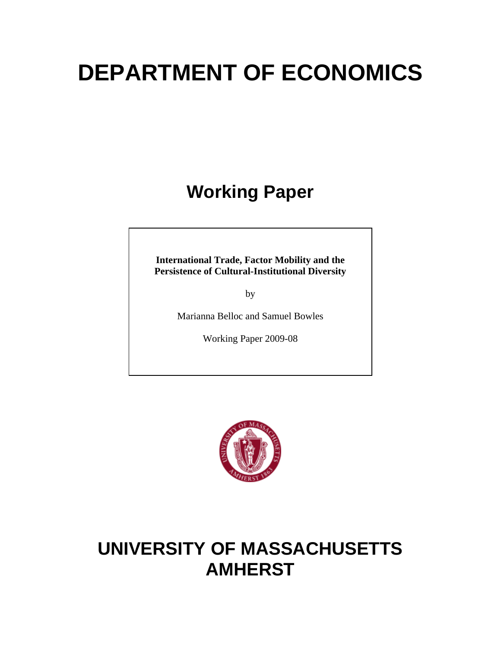# **DEPARTMENT OF ECONOMICS**

# **Working Paper**

**International Trade, Factor Mobility and the Persistence of Cultural-Institutional Diversity** 

by

Marianna Belloc and Samuel Bowles

Working Paper 2009-08



## **UNIVERSITY OF MASSACHUSETTS AMHERST**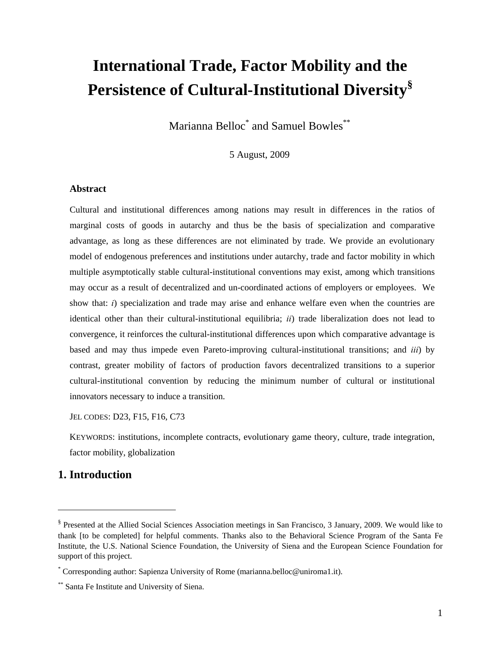### **International Trade, Factor Mobility and the Persistence of Cultural-Institutional Diversity§**

Marianna Belloc\* and Samuel Bowles\*\*

5 August, 2009

#### **Abstract**

Cultural and institutional differences among nations may result in differences in the ratios of marginal costs of goods in autarchy and thus be the basis of specialization and comparative advantage, as long as these differences are not eliminated by trade. We provide an evolutionary model of endogenous preferences and institutions under autarchy, trade and factor mobility in which multiple asymptotically stable cultural-institutional conventions may exist, among which transitions may occur as a result of decentralized and un-coordinated actions of employers or employees. We show that: *i*) specialization and trade may arise and enhance welfare even when the countries are identical other than their cultural-institutional equilibria; *ii*) trade liberalization does not lead to convergence, it reinforces the cultural-institutional differences upon which comparative advantage is based and may thus impede even Pareto-improving cultural-institutional transitions; and *iii*) by contrast, greater mobility of factors of production favors decentralized transitions to a superior cultural-institutional convention by reducing the minimum number of cultural or institutional innovators necessary to induce a transition.

JEL CODES: D23, F15, F16, C73

KEYWORDS: institutions, incomplete contracts, evolutionary game theory, culture, trade integration, factor mobility, globalization

#### **1. Introduction**

 $\overline{a}$ 

<sup>§</sup> Presented at the Allied Social Sciences Association meetings in San Francisco, 3 January, 2009. We would like to thank [to be completed] for helpful comments. Thanks also to the Behavioral Science Program of the Santa Fe Institute, the U.S. National Science Foundation, the University of Siena and the European Science Foundation for support of this project.

<sup>\*</sup> Corresponding author: Sapienza University of Rome (marianna.belloc@uniroma1.it).

<sup>\*\*</sup> Santa Fe Institute and University of Siena.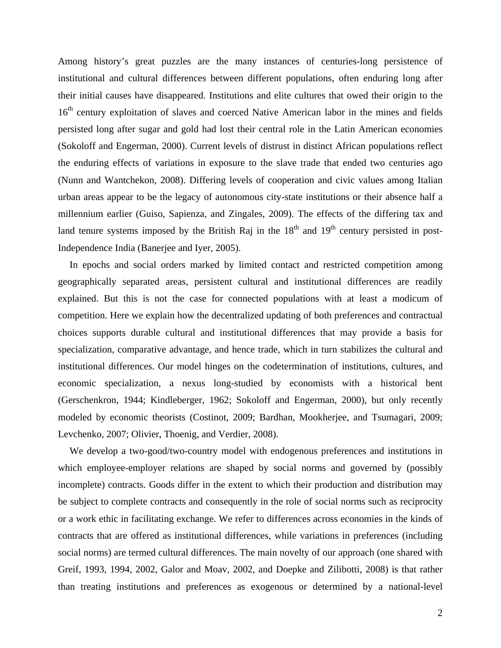Among history's great puzzles are the many instances of centuries-long persistence of institutional and cultural differences between different populations, often enduring long after their initial causes have disappeared. Institutions and elite cultures that owed their origin to the 16<sup>th</sup> century exploitation of slaves and coerced Native American labor in the mines and fields persisted long after sugar and gold had lost their central role in the Latin American economies (Sokoloff and Engerman, 2000). Current levels of distrust in distinct African populations reflect the enduring effects of variations in exposure to the slave trade that ended two centuries ago (Nunn and Wantchekon, 2008). Differing levels of cooperation and civic values among Italian urban areas appear to be the legacy of autonomous city-state institutions or their absence half a millennium earlier (Guiso, Sapienza, and Zingales, 2009). The effects of the differing tax and land tenure systems imposed by the British Raj in the  $18<sup>th</sup>$  and  $19<sup>th</sup>$  century persisted in post-Independence India (Banerjee and Iyer, 2005).

In epochs and social orders marked by limited contact and restricted competition among geographically separated areas, persistent cultural and institutional differences are readily explained. But this is not the case for connected populations with at least a modicum of competition. Here we explain how the decentralized updating of both preferences and contractual choices supports durable cultural and institutional differences that may provide a basis for specialization, comparative advantage, and hence trade, which in turn stabilizes the cultural and institutional differences. Our model hinges on the codetermination of institutions, cultures, and economic specialization, a nexus long-studied by economists with a historical bent (Gerschenkron, 1944; Kindleberger, 1962; Sokoloff and Engerman, 2000), but only recently modeled by economic theorists (Costinot, 2009; Bardhan, Mookherjee, and Tsumagari, 2009; Levchenko, 2007; Olivier, Thoenig, and Verdier, 2008).

We develop a two-good/two-country model with endogenous preferences and institutions in which employee-employer relations are shaped by social norms and governed by (possibly incomplete) contracts. Goods differ in the extent to which their production and distribution may be subject to complete contracts and consequently in the role of social norms such as reciprocity or a work ethic in facilitating exchange. We refer to differences across economies in the kinds of contracts that are offered as institutional differences, while variations in preferences (including social norms) are termed cultural differences. The main novelty of our approach (one shared with Greif, 1993, 1994, 2002, Galor and Moav, 2002, and Doepke and Zilibotti, 2008) is that rather than treating institutions and preferences as exogenous or determined by a national-level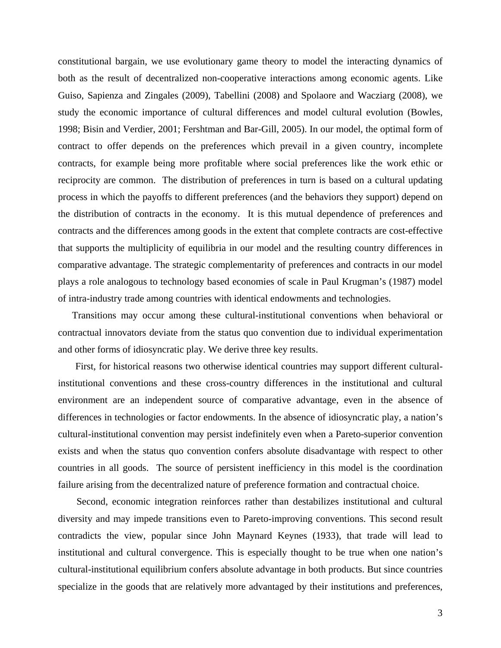constitutional bargain, we use evolutionary game theory to model the interacting dynamics of both as the result of decentralized non-cooperative interactions among economic agents. Like Guiso, Sapienza and Zingales (2009), Tabellini (2008) and Spolaore and Wacziarg (2008), we study the economic importance of cultural differences and model cultural evolution (Bowles, 1998; Bisin and Verdier, 2001; Fershtman and Bar-Gill, 2005). In our model, the optimal form of contract to offer depends on the preferences which prevail in a given country, incomplete contracts, for example being more profitable where social preferences like the work ethic or reciprocity are common. The distribution of preferences in turn is based on a cultural updating process in which the payoffs to different preferences (and the behaviors they support) depend on the distribution of contracts in the economy. It is this mutual dependence of preferences and contracts and the differences among goods in the extent that complete contracts are cost-effective that supports the multiplicity of equilibria in our model and the resulting country differences in comparative advantage. The strategic complementarity of preferences and contracts in our model plays a role analogous to technology based economies of scale in Paul Krugman's (1987) model of intra-industry trade among countries with identical endowments and technologies.

 Transitions may occur among these cultural-institutional conventions when behavioral or contractual innovators deviate from the status quo convention due to individual experimentation and other forms of idiosyncratic play. We derive three key results.

First, for historical reasons two otherwise identical countries may support different culturalinstitutional conventions and these cross-country differences in the institutional and cultural environment are an independent source of comparative advantage, even in the absence of differences in technologies or factor endowments. In the absence of idiosyncratic play, a nation's cultural-institutional convention may persist indefinitely even when a Pareto-superior convention exists and when the status quo convention confers absolute disadvantage with respect to other countries in all goods. The source of persistent inefficiency in this model is the coordination failure arising from the decentralized nature of preference formation and contractual choice.

Second, economic integration reinforces rather than destabilizes institutional and cultural diversity and may impede transitions even to Pareto-improving conventions. This second result contradicts the view, popular since John Maynard Keynes (1933), that trade will lead to institutional and cultural convergence. This is especially thought to be true when one nation's cultural-institutional equilibrium confers absolute advantage in both products. But since countries specialize in the goods that are relatively more advantaged by their institutions and preferences,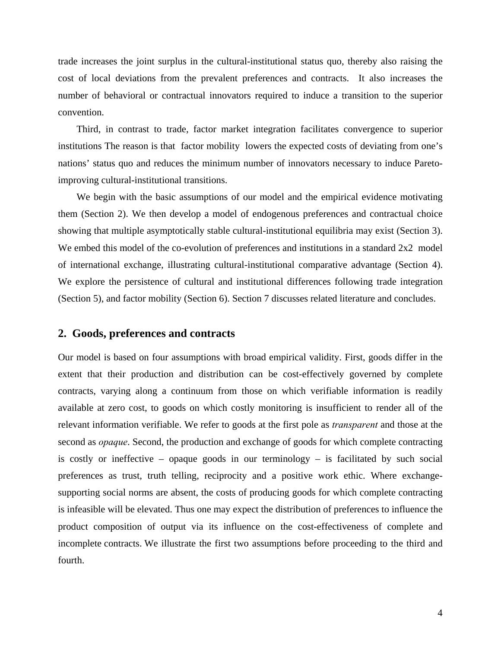trade increases the joint surplus in the cultural-institutional status quo, thereby also raising the cost of local deviations from the prevalent preferences and contracts. It also increases the number of behavioral or contractual innovators required to induce a transition to the superior convention.

Third, in contrast to trade, factor market integration facilitates convergence to superior institutions The reason is that factor mobility lowers the expected costs of deviating from one's nations' status quo and reduces the minimum number of innovators necessary to induce Paretoimproving cultural-institutional transitions.

We begin with the basic assumptions of our model and the empirical evidence motivating them (Section 2). We then develop a model of endogenous preferences and contractual choice showing that multiple asymptotically stable cultural-institutional equilibria may exist (Section 3). We embed this model of the co-evolution of preferences and institutions in a standard 2x2 model of international exchange, illustrating cultural-institutional comparative advantage (Section 4). We explore the persistence of cultural and institutional differences following trade integration (Section 5), and factor mobility (Section 6). Section 7 discusses related literature and concludes.

#### **2. Goods, preferences and contracts**

Our model is based on four assumptions with broad empirical validity. First, goods differ in the extent that their production and distribution can be cost-effectively governed by complete contracts, varying along a continuum from those on which verifiable information is readily available at zero cost, to goods on which costly monitoring is insufficient to render all of the relevant information verifiable. We refer to goods at the first pole as *transparent* and those at the second as *opaque*. Second, the production and exchange of goods for which complete contracting is costly or ineffective – opaque goods in our terminology – is facilitated by such social preferences as trust, truth telling, reciprocity and a positive work ethic. Where exchangesupporting social norms are absent, the costs of producing goods for which complete contracting is infeasible will be elevated. Thus one may expect the distribution of preferences to influence the product composition of output via its influence on the cost-effectiveness of complete and incomplete contracts. We illustrate the first two assumptions before proceeding to the third and fourth.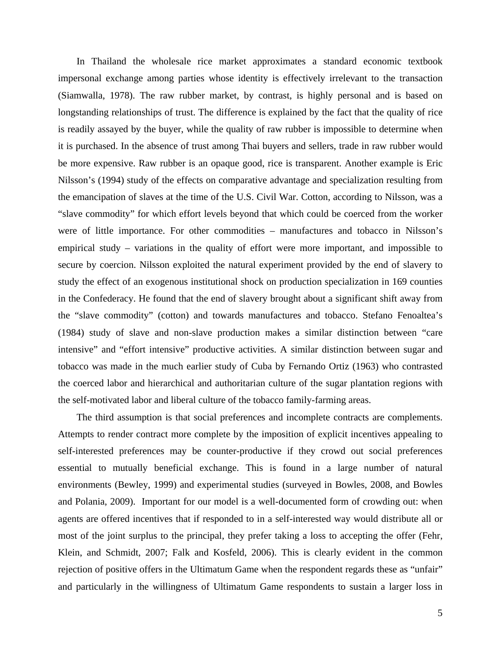In Thailand the wholesale rice market approximates a standard economic textbook impersonal exchange among parties whose identity is effectively irrelevant to the transaction (Siamwalla, 1978). The raw rubber market, by contrast, is highly personal and is based on longstanding relationships of trust. The difference is explained by the fact that the quality of rice is readily assayed by the buyer, while the quality of raw rubber is impossible to determine when it is purchased. In the absence of trust among Thai buyers and sellers, trade in raw rubber would be more expensive. Raw rubber is an opaque good, rice is transparent. Another example is Eric Nilsson's (1994) study of the effects on comparative advantage and specialization resulting from the emancipation of slaves at the time of the U.S. Civil War. Cotton, according to Nilsson, was a "slave commodity" for which effort levels beyond that which could be coerced from the worker were of little importance. For other commodities – manufactures and tobacco in Nilsson's empirical study – variations in the quality of effort were more important, and impossible to secure by coercion. Nilsson exploited the natural experiment provided by the end of slavery to study the effect of an exogenous institutional shock on production specialization in 169 counties in the Confederacy. He found that the end of slavery brought about a significant shift away from the "slave commodity" (cotton) and towards manufactures and tobacco. Stefano Fenoaltea's (1984) study of slave and non-slave production makes a similar distinction between "care intensive" and "effort intensive" productive activities. A similar distinction between sugar and tobacco was made in the much earlier study of Cuba by Fernando Ortiz (1963) who contrasted the coerced labor and hierarchical and authoritarian culture of the sugar plantation regions with the self-motivated labor and liberal culture of the tobacco family-farming areas.

The third assumption is that social preferences and incomplete contracts are complements. Attempts to render contract more complete by the imposition of explicit incentives appealing to self-interested preferences may be counter-productive if they crowd out social preferences essential to mutually beneficial exchange. This is found in a large number of natural environments (Bewley, 1999) and experimental studies (surveyed in Bowles, 2008, and Bowles and Polania, 2009). Important for our model is a well-documented form of crowding out: when agents are offered incentives that if responded to in a self-interested way would distribute all or most of the joint surplus to the principal, they prefer taking a loss to accepting the offer (Fehr, Klein, and Schmidt, 2007; Falk and Kosfeld, 2006). This is clearly evident in the common rejection of positive offers in the Ultimatum Game when the respondent regards these as "unfair" and particularly in the willingness of Ultimatum Game respondents to sustain a larger loss in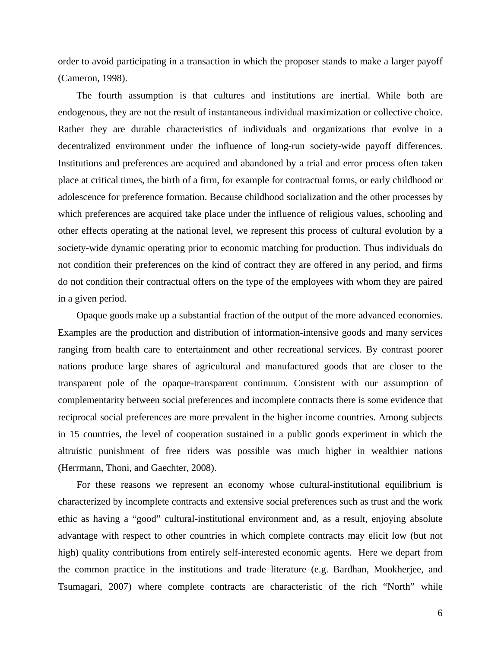order to avoid participating in a transaction in which the proposer stands to make a larger payoff (Cameron, 1998).

The fourth assumption is that cultures and institutions are inertial. While both are endogenous, they are not the result of instantaneous individual maximization or collective choice. Rather they are durable characteristics of individuals and organizations that evolve in a decentralized environment under the influence of long-run society-wide payoff differences. Institutions and preferences are acquired and abandoned by a trial and error process often taken place at critical times, the birth of a firm, for example for contractual forms, or early childhood or adolescence for preference formation. Because childhood socialization and the other processes by which preferences are acquired take place under the influence of religious values, schooling and other effects operating at the national level, we represent this process of cultural evolution by a society-wide dynamic operating prior to economic matching for production. Thus individuals do not condition their preferences on the kind of contract they are offered in any period, and firms do not condition their contractual offers on the type of the employees with whom they are paired in a given period.

Opaque goods make up a substantial fraction of the output of the more advanced economies. Examples are the production and distribution of information-intensive goods and many services ranging from health care to entertainment and other recreational services. By contrast poorer nations produce large shares of agricultural and manufactured goods that are closer to the transparent pole of the opaque-transparent continuum. Consistent with our assumption of complementarity between social preferences and incomplete contracts there is some evidence that reciprocal social preferences are more prevalent in the higher income countries. Among subjects in 15 countries, the level of cooperation sustained in a public goods experiment in which the altruistic punishment of free riders was possible was much higher in wealthier nations (Herrmann, Thoni, and Gaechter, 2008).

For these reasons we represent an economy whose cultural-institutional equilibrium is characterized by incomplete contracts and extensive social preferences such as trust and the work ethic as having a "good" cultural-institutional environment and, as a result, enjoying absolute advantage with respect to other countries in which complete contracts may elicit low (but not high) quality contributions from entirely self-interested economic agents. Here we depart from the common practice in the institutions and trade literature (e.g. Bardhan, Mookherjee, and Tsumagari, 2007) where complete contracts are characteristic of the rich "North" while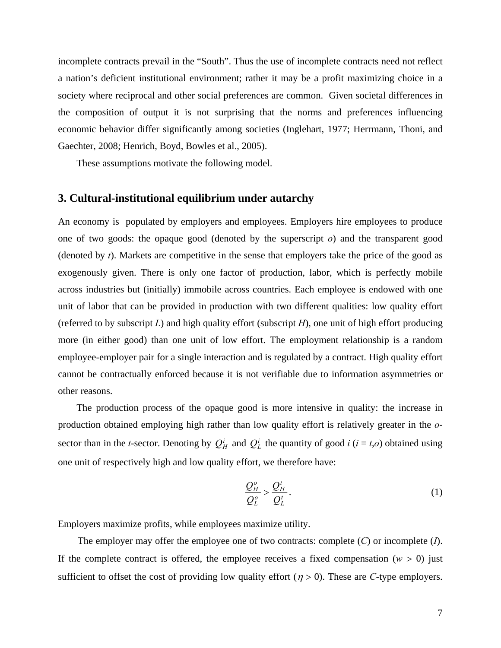incomplete contracts prevail in the "South". Thus the use of incomplete contracts need not reflect a nation's deficient institutional environment; rather it may be a profit maximizing choice in a society where reciprocal and other social preferences are common. Given societal differences in the composition of output it is not surprising that the norms and preferences influencing economic behavior differ significantly among societies (Inglehart, 1977; Herrmann, Thoni, and Gaechter, 2008; Henrich, Boyd, Bowles et al., 2005).

These assumptions motivate the following model.

#### **3. Cultural-institutional equilibrium under autarchy**

An economy is populated by employers and employees. Employers hire employees to produce one of two goods: the opaque good (denoted by the superscript *o*) and the transparent good (denoted by *t*). Markets are competitive in the sense that employers take the price of the good as exogenously given. There is only one factor of production, labor, which is perfectly mobile across industries but (initially) immobile across countries. Each employee is endowed with one unit of labor that can be provided in production with two different qualities: low quality effort (referred to by subscript *L*) and high quality effort (subscript *H*), one unit of high effort producing more (in either good) than one unit of low effort. The employment relationship is a random employee-employer pair for a single interaction and is regulated by a contract. High quality effort cannot be contractually enforced because it is not verifiable due to information asymmetries or other reasons.

The production process of the opaque good is more intensive in quality: the increase in production obtained employing high rather than low quality effort is relatively greater in the *o*sector than in the *t*-sector. Denoting by  $Q_H^i$  and  $Q_L^i$  the quantity of good *i* (*i* = *t*,*o*) obtained using one unit of respectively high and low quality effort, we therefore have:

$$
\frac{Q_H^o}{Q_L^o} > \frac{Q_H^t}{Q_L^t}.
$$
\n(1)

Employers maximize profits, while employees maximize utility.

 The employer may offer the employee one of two contracts: complete (*C*) or incomplete (*I*). If the complete contract is offered, the employee receives a fixed compensation  $(w > 0)$  just sufficient to offset the cost of providing low quality effort ( $\eta > 0$ ). These are *C*-type employers.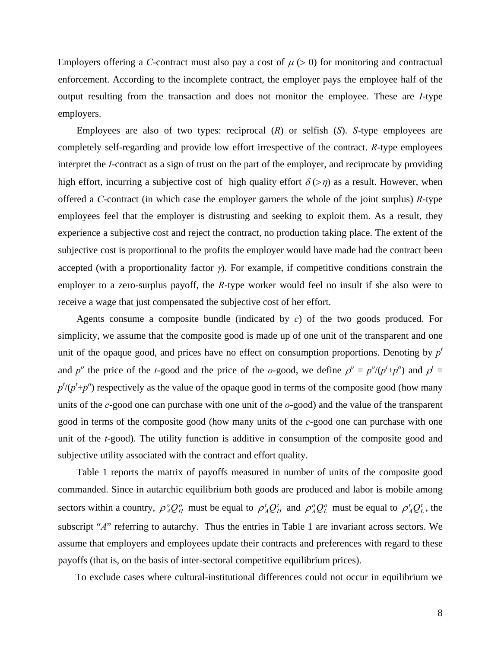Employers offering a *C*-contract must also pay a cost of  $\mu$  ( $>$  0) for monitoring and contractual enforcement. According to the incomplete contract, the employer pays the employee half of the output resulting from the transaction and does not monitor the employee. These are *I*-type employers.

Employees are also of two types: reciprocal (*R*) or selfish (*S*). *S*-type employees are completely self-regarding and provide low effort irrespective of the contract. *R*-type employees interpret the *I*-contract as a sign of trust on the part of the employer, and reciprocate by providing high effort, incurring a subjective cost of high quality effort  $\delta$  (>*n*) as a result. However, when offered a *C*-contract (in which case the employer garners the whole of the joint surplus) *R*-type employees feel that the employer is distrusting and seeking to exploit them. As a result, they experience a subjective cost and reject the contract, no production taking place. The extent of the subjective cost is proportional to the profits the employer would have made had the contract been accepted (with a proportionality factor  $\gamma$ ). For example, if competitive conditions constrain the employer to a zero-surplus payoff, the *R*-type worker would feel no insult if she also were to receive a wage that just compensated the subjective cost of her effort.

Agents consume a composite bundle (indicated by *c*) of the two goods produced. For simplicity, we assume that the composite good is made up of one unit of the transparent and one unit of the opaque good, and prices have no effect on consumption proportions. Denoting by  $p<sup>t</sup>$ and  $p^o$  the price of the *t*-good and the price of the *o*-good, we define  $p^o = p^o/(p^t+p^o)$  and  $p^t =$  $p^{t}$ / $(p^{t}+p^{o})$  respectively as the value of the opaque good in terms of the composite good (how many units of the *c*-good one can purchase with one unit of the *o*-good) and the value of the transparent good in terms of the composite good (how many units of the *c*-good one can purchase with one unit of the *t*-good). The utility function is additive in consumption of the composite good and subjective utility associated with the contract and effort quality.

Table 1 reports the matrix of payoffs measured in number of units of the composite good commanded. Since in autarchic equilibrium both goods are produced and labor is mobile among sectors within a country,  $\rho_A^o Q_H^o$  must be equal to  $\rho_A^t Q_H^t$  and  $\rho_A^o Q_L^o$  must be equal to  $\rho_A^t Q_L^t$ , the subscript "*A*" referring to autarchy. Thus the entries in Table 1 are invariant across sectors. We assume that employers and employees update their contracts and preferences with regard to these payoffs (that is, on the basis of inter-sectoral competitive equilibrium prices).

To exclude cases where cultural-institutional differences could not occur in equilibrium we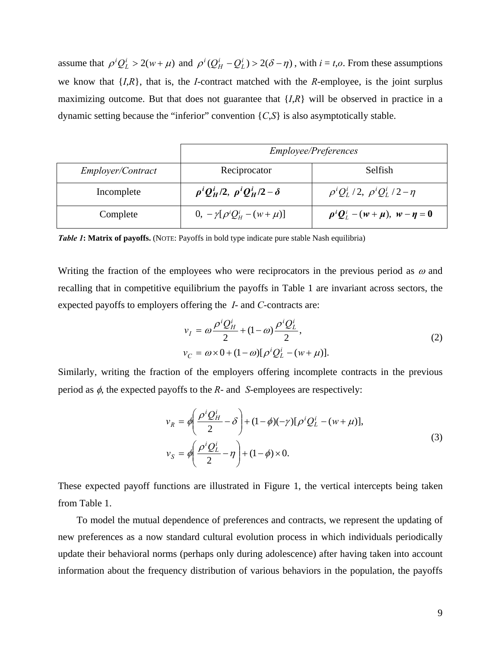assume that  $\rho^{i}Q_{L}^{i} > 2(w + \mu)$  and  $\rho^{i}(Q_{H}^{i} - Q_{L}^{i}) > 2(\delta - \eta)$ , with  $i = t, o$ . From these assumptions we know that {*I*,*R*}, that is, the *I*-contract matched with the *R*-employee, is the joint surplus maximizing outcome. But that does not guarantee that {*I*,*R*} will be observed in practice in a dynamic setting because the "inferior" convention {*C*,*S*} is also asymptotically stable.

|                          | <i>Employee/Preferences</i>                  |                                                    |
|--------------------------|----------------------------------------------|----------------------------------------------------|
| <i>Employer/Contract</i> | Reciprocator                                 | Selfish                                            |
| Incomplete               | $\rho^i Q_H^i/2$ , $\rho^i Q_H^i/2 - \delta$ | $\rho^{i}Q_{I}^{i}/2$ , $\rho^{i}Q_{I}^{i}/2-\eta$ |
| Complete                 | $0, -\gamma[\rho^i Q^i_{\mu} - (w + \mu)]$   | $\rho^i Q^i_L - (w + \mu), \ w - \eta = 0$         |

*Table 1***: Matrix of payoffs.** (NOTE: Payoffs in bold type indicate pure stable Nash equilibria)

Writing the fraction of the employees who were reciprocators in the previous period as  $\omega$  and recalling that in competitive equilibrium the payoffs in Table 1 are invariant across sectors, the expected payoffs to employers offering the *I*- and *C*-contracts are:

$$
v_{I} = \omega \frac{\rho^{i} Q_{H}^{i}}{2} + (1 - \omega) \frac{\rho^{i} Q_{L}^{i}}{2},
$$
  
\n
$$
v_{C} = \omega \times 0 + (1 - \omega) [\rho^{i} Q_{L}^{i} - (w + \mu)].
$$
\n(2)

Similarly, writing the fraction of the employers offering incomplete contracts in the previous period as φ, the expected payoffs to the *R*- and *S*-employees are respectively:

$$
v_R = \phi \left( \frac{\rho^i Q_H^i}{2} - \delta \right) + (1 - \phi)(-\gamma) [\rho^i Q_L^i - (w + \mu)],
$$
  
\n
$$
v_S = \phi \left( \frac{\rho^i Q_L^i}{2} - \eta \right) + (1 - \phi) \times 0.
$$
\n(3)

These expected payoff functions are illustrated in Figure 1, the vertical intercepts being taken from Table 1.

To model the mutual dependence of preferences and contracts, we represent the updating of new preferences as a now standard cultural evolution process in which individuals periodically update their behavioral norms (perhaps only during adolescence) after having taken into account information about the frequency distribution of various behaviors in the population, the payoffs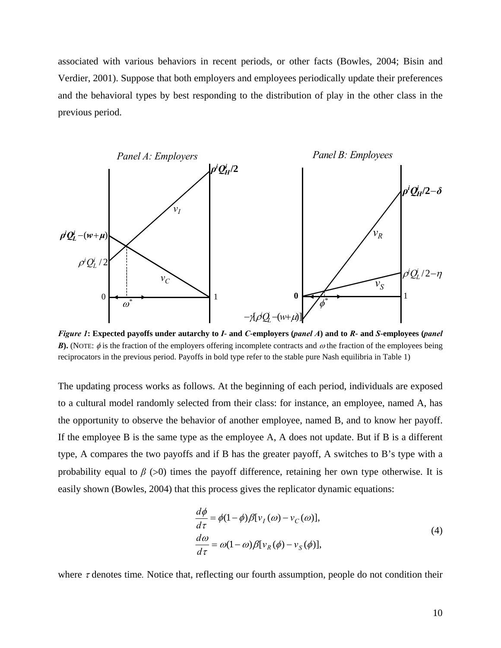associated with various behaviors in recent periods, or other facts (Bowles, 2004; Bisin and Verdier, 2001). Suppose that both employers and employees periodically update their preferences and the behavioral types by best responding to the distribution of play in the other class in the previous period.



*Figure 1***: Expected payoffs under autarchy to** *I***- and** *C***-employers (***panel A***) and to** *R***- and** *S***-employees (***panel B*). (NOTE:  $\phi$  is the fraction of the employers offering incomplete contracts and  $\omega$  the fraction of the employees being reciprocators in the previous period. Payoffs in bold type refer to the stable pure Nash equilibria in Table 1)

The updating process works as follows. At the beginning of each period, individuals are exposed to a cultural model randomly selected from their class: for instance, an employee, named A, has the opportunity to observe the behavior of another employee, named B, and to know her payoff. If the employee B is the same type as the employee A, A does not update. But if B is a different type, A compares the two payoffs and if B has the greater payoff, A switches to B's type with a probability equal to  $\beta$  ( $>0$ ) times the payoff difference, retaining her own type otherwise. It is easily shown (Bowles, 2004) that this process gives the replicator dynamic equations:

$$
\frac{d\phi}{d\tau} = \phi(1-\phi)\beta[v_I(\omega)-v_C(\omega)],
$$
  
\n
$$
\frac{d\omega}{d\tau} = \omega(1-\omega)\beta[v_R(\phi)-v_S(\phi)],
$$
\n(4)

where τ denotes time*.* Notice that, reflecting our fourth assumption, people do not condition their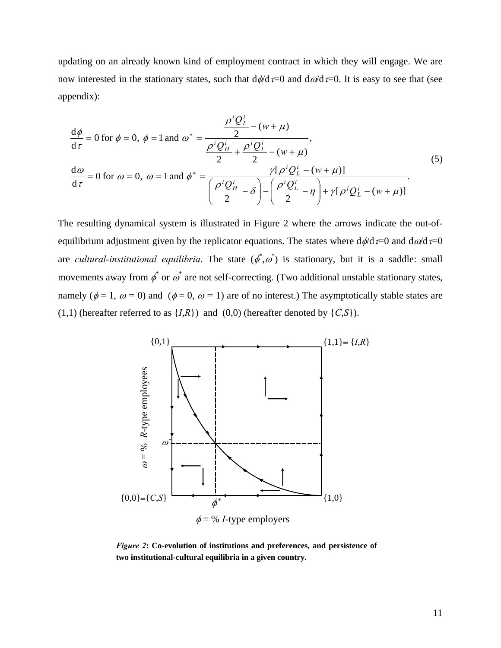updating on an already known kind of employment contract in which they will engage. We are now interested in the stationary states, such that  $d\phi/d\tau=0$  and  $d\omega/d\tau=0$ . It is easy to see that (see appendix):

$$
\frac{d\phi}{d\tau} = 0 \text{ for } \phi = 0, \ \phi = 1 \text{ and } \omega^* = \frac{\frac{\rho^i Q_L^i}{2} - (w + \mu)}{\frac{\rho^i Q_H^i}{2} + \frac{\rho^i Q_L^i}{2} - (w + \mu)},
$$
\n
$$
\frac{d\omega}{d\tau} = 0 \text{ for } \omega = 0, \ \omega = 1 \text{ and } \phi^* = \frac{\gamma[\rho^i Q_L^i - (w + \mu)]}{\left(\frac{\rho^i Q_H^i}{2} - \delta\right) - \left(\frac{\rho^i Q_L^i}{2} - \eta\right) + \gamma[\rho^i Q_L^i - (w + \mu)]}.
$$
\n(5)

The resulting dynamical system is illustrated in Figure 2 where the arrows indicate the out-ofequilibrium adjustment given by the replicator equations. The states where  $d\phi/d\tau=0$  and  $d\omega/d\tau=0$ are *cultural-institutional equilibria*. The state  $(\phi^*, \omega^*)$  is stationary, but it is a saddle: small movements away from  $\phi^*$  or  $\omega^*$  are not self-correcting. (Two additional unstable stationary states, namely ( $\phi = 1$ ,  $\omega = 0$ ) and ( $\phi = 0$ ,  $\omega = 1$ ) are of no interest.) The asymptotically stable states are  $(1,1)$  (hereafter referred to as  $\{I,R\}$ ) and  $(0,0)$  (hereafter denoted by  $\{C,S\}$ ).



*Figure 2***: Co-evolution of institutions and preferences, and persistence of two institutional-cultural equilibria in a given country.**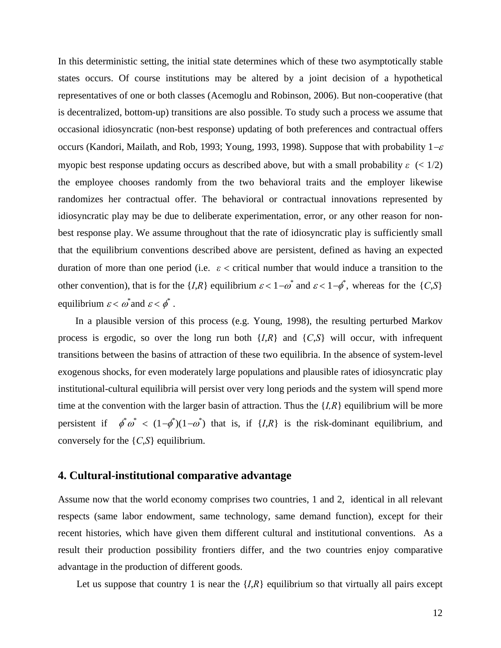In this deterministic setting, the initial state determines which of these two asymptotically stable states occurs. Of course institutions may be altered by a joint decision of a hypothetical representatives of one or both classes (Acemoglu and Robinson, 2006). But non-cooperative (that is decentralized, bottom-up) transitions are also possible. To study such a process we assume that occasional idiosyncratic (non-best response) updating of both preferences and contractual offers occurs (Kandori, Mailath, and Rob, 1993; Young, 1993, 1998). Suppose that with probability  $1-\varepsilon$ myopic best response updating occurs as described above, but with a small probability  $\varepsilon$  (< 1/2) the employee chooses randomly from the two behavioral traits and the employer likewise randomizes her contractual offer. The behavioral or contractual innovations represented by idiosyncratic play may be due to deliberate experimentation, error, or any other reason for nonbest response play. We assume throughout that the rate of idiosyncratic play is sufficiently small that the equilibrium conventions described above are persistent, defined as having an expected duration of more than one period (i.e.  $\varepsilon$  < critical number that would induce a transition to the other convention), that is for the  $\{I, R\}$  equilibrium  $\varepsilon < 1 - \omega^*$  and  $\varepsilon < 1 - \phi^*$ , whereas for the  $\{C, S\}$ equilibrium  $\varepsilon < \omega^*$  and  $\varepsilon < \phi^*$ .

In a plausible version of this process (e.g. Young, 1998), the resulting perturbed Markov process is ergodic, so over the long run both  ${I,R}$  and  ${C,S}$  will occur, with infrequent transitions between the basins of attraction of these two equilibria. In the absence of system-level exogenous shocks, for even moderately large populations and plausible rates of idiosyncratic play institutional-cultural equilibria will persist over very long periods and the system will spend more time at the convention with the larger basin of attraction. Thus the  $\{I, R\}$  equilibrium will be more persistent if  $\phi^* \phi^* < (1-\phi^*)(1-\phi^*)$  that is, if  $\{I,R\}$  is the risk-dominant equilibrium, and conversely for the {*C*,*S*} equilibrium.

#### **4. Cultural-institutional comparative advantage**

Assume now that the world economy comprises two countries, 1 and 2, identical in all relevant respects (same labor endowment, same technology, same demand function), except for their recent histories, which have given them different cultural and institutional conventions. As a result their production possibility frontiers differ, and the two countries enjoy comparative advantage in the production of different goods.

Let us suppose that country 1 is near the  $\{I, R\}$  equilibrium so that virtually all pairs except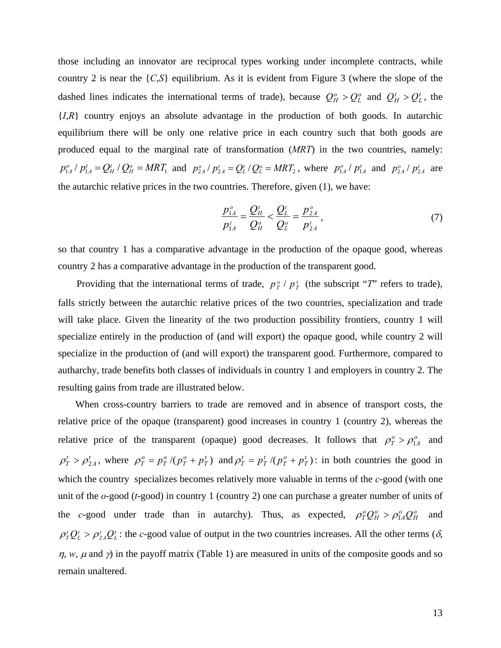those including an innovator are reciprocal types working under incomplete contracts, while country 2 is near the {*C*,*S*} equilibrium. As it is evident from Figure 3 (where the slope of the dashed lines indicates the international terms of trade), because  $Q_H^o > Q_L^o$  and  $Q_H^t > Q_L^t$ , the  ${I,R}$  country enjoys an absolute advantage in the production of both goods. In autarchic equilibrium there will be only one relative price in each country such that both goods are produced equal to the marginal rate of transformation (*MRT*) in the two countries, namely:  $p_{1A}^o / p_{1A}^t = Q_H^t / Q_H^o = MRT_1$  and  $p_{2A}^o / p_{2A}^t = Q_L^t / Q_L^o = MRT_2$ , where  $p_{1A}^o / p_{1A}^t$  and  $p_{2A}^o / p_{2A}^t$  are the autarchic relative prices in the two countries. Therefore, given (1), we have:

$$
\frac{p_{1A}^o}{p_{1A}^t} = \frac{Q_H^t}{Q_H^o} < \frac{Q_L^t}{Q_L^o} = \frac{p_{2A}^o}{p_{2A}^t},\tag{7}
$$

so that country 1 has a comparative advantage in the production of the opaque good, whereas country 2 has a comparative advantage in the production of the transparent good.

Providing that the international terms of trade,  $p_T^o / p_T^t$  (the subscript "*T*" refers to trade), falls strictly between the autarchic relative prices of the two countries, specialization and trade will take place. Given the linearity of the two production possibility frontiers, country 1 will specialize entirely in the production of (and will export) the opaque good, while country 2 will specialize in the production of (and will export) the transparent good. Furthermore, compared to autharchy, trade benefits both classes of individuals in country 1 and employers in country 2. The resulting gains from trade are illustrated below.

When cross-country barriers to trade are removed and in absence of transport costs, the relative price of the opaque (transparent) good increases in country 1 (country 2), whereas the relative price of the transparent (opaque) good decreases. It follows that  $\rho_T^o > \rho_{1A}^o$  and  $\rho_T^t > \rho_{2A}^t$ , where  $\rho_T^o = p_T^o / (p_T^o + p_T^t)$  and  $\rho_T^t = p_T^t / (p_T^o + p_T^t)$ : in both countries the good in which the country specializes becomes relatively more valuable in terms of the *c*-good (with one unit of the *o*-good (*t*-good) in country 1 (country 2) one can purchase a greater number of units of the *c*-good under trade than in autarchy). Thus, as expected,  $\rho_T^o Q_H^o > \rho_{1A}^o Q_H^o$  and  $\rho_T^t Q_L^t > \rho_{2A}^t Q_L^t$ : the *c*-good value of output in the two countries increases. All the other terms ( $\delta$ ,  $\eta$ , *w*,  $\mu$  and  $\gamma$ ) in the payoff matrix (Table 1) are measured in units of the composite goods and so remain unaltered.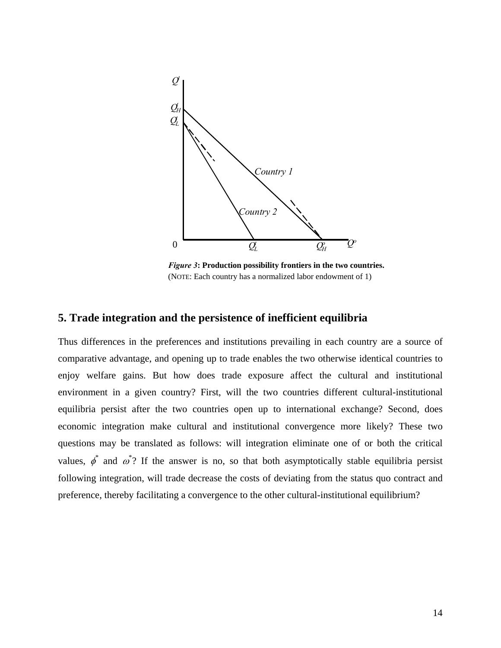

*Figure 3***: Production possibility frontiers in the two countries.**  (NOTE: Each country has a normalized labor endowment of 1)

#### **5. Trade integration and the persistence of inefficient equilibria**

Thus differences in the preferences and institutions prevailing in each country are a source of comparative advantage, and opening up to trade enables the two otherwise identical countries to enjoy welfare gains. But how does trade exposure affect the cultural and institutional environment in a given country? First, will the two countries different cultural-institutional equilibria persist after the two countries open up to international exchange? Second, does economic integration make cultural and institutional convergence more likely? These two questions may be translated as follows: will integration eliminate one of or both the critical values,  $\phi^*$  and  $\omega^*$ ? If the answer is no, so that both asymptotically stable equilibria persist following integration, will trade decrease the costs of deviating from the status quo contract and preference, thereby facilitating a convergence to the other cultural-institutional equilibrium?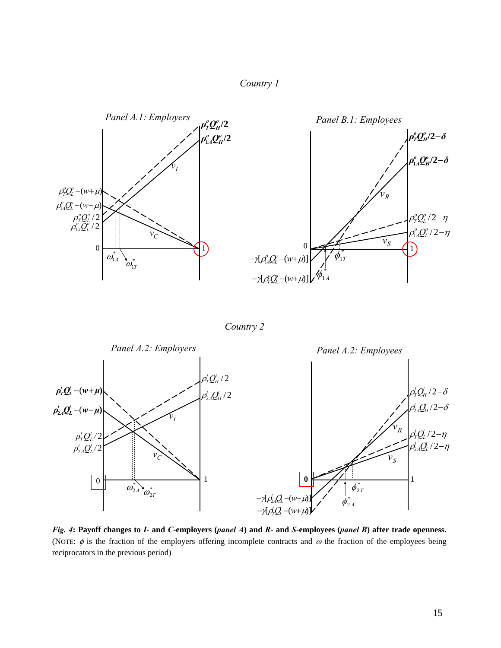



*Country 2* 



*Fig. 4***: Payoff changes to** *I***- and** *C***-employers (***panel A***) and** *R***- and** *S***-employees (***panel B***) after trade openness.**  (NOTE:  $\phi$  is the fraction of the employers offering incomplete contracts and  $\omega$  the fraction of the employees being reciprocators in the previous period)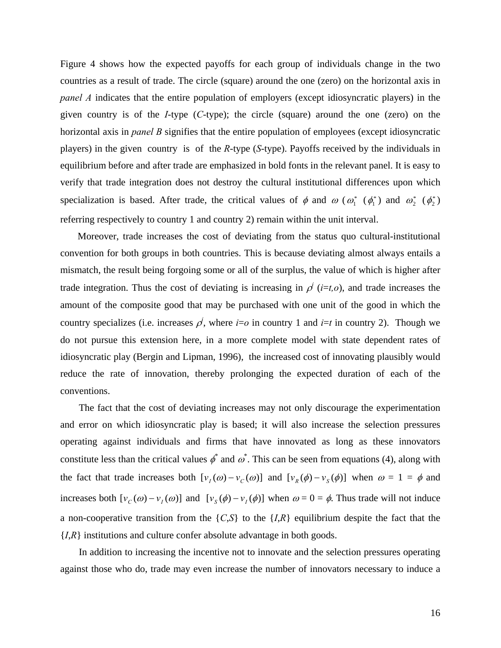Figure 4 shows how the expected payoffs for each group of individuals change in the two countries as a result of trade. The circle (square) around the one (zero) on the horizontal axis in *panel A* indicates that the entire population of employers (except idiosyncratic players) in the given country is of the *I*-type (*C*-type); the circle (square) around the one (zero) on the horizontal axis in *panel B* signifies that the entire population of employees (except idiosyncratic players) in the given country is of the *R*-type (*S*-type). Payoffs received by the individuals in equilibrium before and after trade are emphasized in bold fonts in the relevant panel. It is easy to verify that trade integration does not destroy the cultural institutional differences upon which specialization is based. After trade, the critical values of  $\phi$  and  $\omega$  ( $\omega_1^*$  ( $\phi_1^*$ ) and  $\omega_2^*$  ( $\phi_2^*$ ) referring respectively to country 1 and country 2) remain within the unit interval.

Moreover, trade increases the cost of deviating from the status quo cultural-institutional convention for both groups in both countries. This is because deviating almost always entails a mismatch, the result being forgoing some or all of the surplus, the value of which is higher after trade integration. Thus the cost of deviating is increasing in  $\rho^{i}$  (*i*=*t*,*o*), and trade increases the amount of the composite good that may be purchased with one unit of the good in which the country specializes (i.e. increases  $\rho^j$ , where *i*=*o* in country 1 and *i*=*t* in country 2). Though we do not pursue this extension here, in a more complete model with state dependent rates of idiosyncratic play (Bergin and Lipman, 1996), the increased cost of innovating plausibly would reduce the rate of innovation, thereby prolonging the expected duration of each of the conventions.

The fact that the cost of deviating increases may not only discourage the experimentation and error on which idiosyncratic play is based; it will also increase the selection pressures operating against individuals and firms that have innovated as long as these innovators constitute less than the critical values  $\phi^*$  and  $\omega^*$ . This can be seen from equations (4), along with the fact that trade increases both  $[v_I(\omega) - v_C(\omega)]$  and  $[v_R(\phi) - v_S(\phi)]$  when  $\omega = 1 = \phi$  and increases both  $[v_C(\omega) - v_I(\omega)]$  and  $[v_S(\phi) - v_I(\phi)]$  when  $\omega = 0 = \phi$ . Thus trade will not induce a non-cooperative transition from the  $\{C, S\}$  to the  $\{I, R\}$  equilibrium despite the fact that the {*I*,*R*} institutions and culture confer absolute advantage in both goods.

In addition to increasing the incentive not to innovate and the selection pressures operating against those who do, trade may even increase the number of innovators necessary to induce a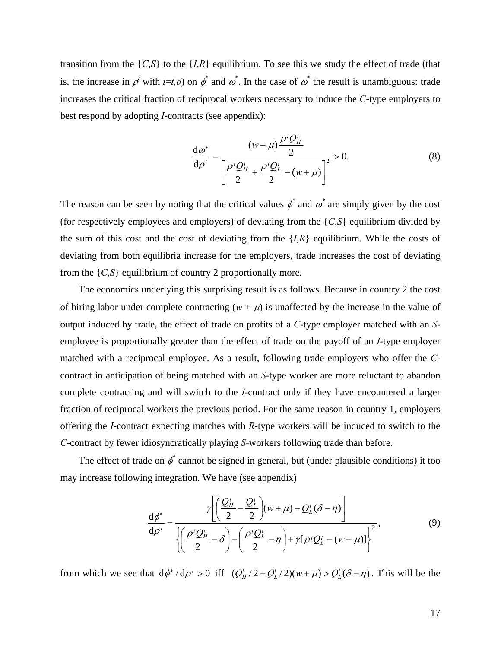transition from the  $\{C, S\}$  to the  $\{I, R\}$  equilibrium. To see this we study the effect of trade (that is, the increase in  $\rho^i$  with *i*=*t*,*o*) on  $\phi^*$  and  $\omega^*$ . In the case of  $\omega^*$  the result is unambiguous: trade increases the critical fraction of reciprocal workers necessary to induce the *C*-type employers to best respond by adopting *I*-contracts (see appendix):

$$
\frac{d\omega^*}{d\rho^i} = \frac{(w+\mu)\frac{\rho^i Q_H^i}{2}}{\left[\frac{\rho^i Q_H^i}{2} + \frac{\rho^i Q_L^i}{2} - (w+\mu)\right]^2} > 0.
$$
\n(8)

The reason can be seen by noting that the critical values  $\phi^*$  and  $\omega^*$  are simply given by the cost (for respectively employees and employers) of deviating from the {*C*,*S*} equilibrium divided by the sum of this cost and the cost of deviating from the  ${I, R}$  equilibrium. While the costs of deviating from both equilibria increase for the employers, trade increases the cost of deviating from the {*C*,*S*} equilibrium of country 2 proportionally more.

The economics underlying this surprising result is as follows. Because in country 2 the cost of hiring labor under complete contracting  $(w + \mu)$  is unaffected by the increase in the value of output induced by trade, the effect of trade on profits of a *C*-type employer matched with an *S*employee is proportionally greater than the effect of trade on the payoff of an *I*-type employer matched with a reciprocal employee. As a result, following trade employers who offer the *C*contract in anticipation of being matched with an *S*-type worker are more reluctant to abandon complete contracting and will switch to the *I*-contract only if they have encountered a larger fraction of reciprocal workers the previous period. For the same reason in country 1, employers offering the *I*-contract expecting matches with *R*-type workers will be induced to switch to the *C*-contract by fewer idiosyncratically playing *S-*workers following trade than before.

The effect of trade on  $\phi^*$  cannot be signed in general, but (under plausible conditions) it too may increase following integration. We have (see appendix)

$$
\frac{d\phi^*}{d\rho^i} = \frac{\gamma \left[ \left( \frac{Q_H^i}{2} - \frac{Q_L^i}{2} \right) (w + \mu) - Q_L^i (\delta - \eta) \right]}{\left\{ \left( \frac{\rho^i Q_H^i}{2} - \delta \right) - \left( \frac{\rho^i Q_L^i}{2} - \eta \right) + \gamma [\rho^i Q_L^i - (w + \mu)] \right\}^2},\tag{9}
$$

from which we see that  $d\phi^* / d\rho^i > 0$  iff  $(Q_H^i / 2 - Q_L^i / 2)(w + \mu) > Q_L^i (\delta - \eta)$ *i*  $Q_H^i/2 - Q_L^i/2$  $(w + \mu) > Q_L^i(\delta - \eta)$ . This will be the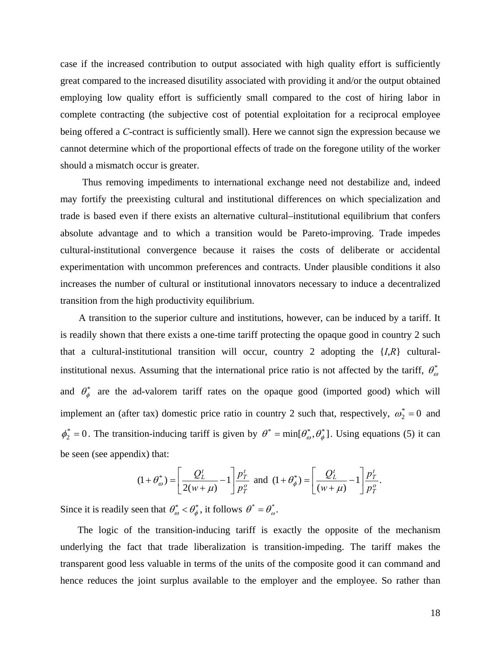case if the increased contribution to output associated with high quality effort is sufficiently great compared to the increased disutility associated with providing it and/or the output obtained employing low quality effort is sufficiently small compared to the cost of hiring labor in complete contracting (the subjective cost of potential exploitation for a reciprocal employee being offered a *C*-contract is sufficiently small). Here we cannot sign the expression because we cannot determine which of the proportional effects of trade on the foregone utility of the worker should a mismatch occur is greater.

 Thus removing impediments to international exchange need not destabilize and, indeed may fortify the preexisting cultural and institutional differences on which specialization and trade is based even if there exists an alternative cultural–institutional equilibrium that confers absolute advantage and to which a transition would be Pareto-improving. Trade impedes cultural-institutional convergence because it raises the costs of deliberate or accidental experimentation with uncommon preferences and contracts. Under plausible conditions it also increases the number of cultural or institutional innovators necessary to induce a decentralized transition from the high productivity equilibrium.

A transition to the superior culture and institutions, however, can be induced by a tariff. It is readily shown that there exists a one-time tariff protecting the opaque good in country 2 such that a cultural-institutional transition will occur, country 2 adopting the  $\{I, R\}$  culturalinstitutional nexus. Assuming that the international price ratio is not affected by the tariff,  $\theta_{\omega}^*$ and  $\theta_{\phi}^{*}$  are the ad-valorem tariff rates on the opaque good (imported good) which will implement an (after tax) domestic price ratio in country 2 such that, respectively,  $\omega_2^* = 0$  and  $\phi_2^* = 0$ . The transition-inducing tariff is given by  $\theta^* = \min[\theta_\omega^*, \theta_\phi^*]$ . Using equations (5) it can be seen (see appendix) that:

$$
(1+\theta_{\omega}^{*}) = \left[\frac{Q_{L}^{t}}{2(w+\mu)} - 1\right] \frac{p_{T}^{t}}{p_{T}^{\circ}} \text{ and } (1+\theta_{\phi}^{*}) = \left[\frac{Q_{L}^{t}}{(w+\mu)} - 1\right] \frac{p_{T}^{t}}{p_{T}^{\circ}}.
$$

Since it is readily seen that  $\theta_{\omega}^* < \theta_{\phi}^*$ , it follows  $\theta^* = \theta_{\omega}^*$ .

The logic of the transition-inducing tariff is exactly the opposite of the mechanism underlying the fact that trade liberalization is transition-impeding. The tariff makes the transparent good less valuable in terms of the units of the composite good it can command and hence reduces the joint surplus available to the employer and the employee. So rather than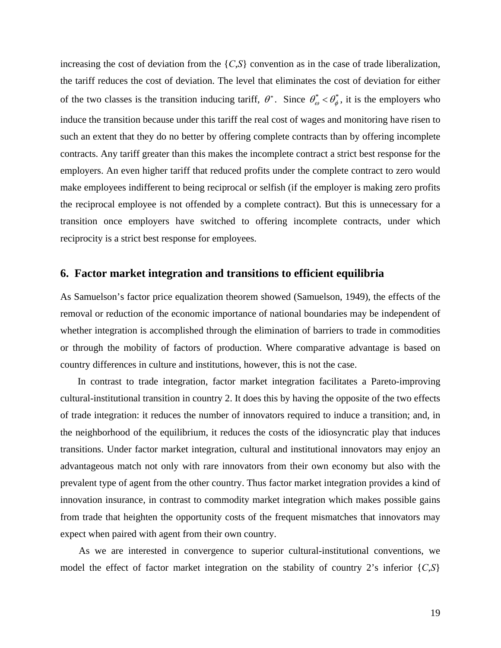increasing the cost of deviation from the {*C*,*S*} convention as in the case of trade liberalization, the tariff reduces the cost of deviation. The level that eliminates the cost of deviation for either of the two classes is the transition inducing tariff,  $\theta^*$ . Since  $\theta_{\omega}^* < \theta_{\phi}^*$ , it is the employers who induce the transition because under this tariff the real cost of wages and monitoring have risen to such an extent that they do no better by offering complete contracts than by offering incomplete contracts. Any tariff greater than this makes the incomplete contract a strict best response for the employers. An even higher tariff that reduced profits under the complete contract to zero would make employees indifferent to being reciprocal or selfish (if the employer is making zero profits the reciprocal employee is not offended by a complete contract). But this is unnecessary for a transition once employers have switched to offering incomplete contracts, under which reciprocity is a strict best response for employees.

#### **6. Factor market integration and transitions to efficient equilibria**

As Samuelson's factor price equalization theorem showed (Samuelson, 1949), the effects of the removal or reduction of the economic importance of national boundaries may be independent of whether integration is accomplished through the elimination of barriers to trade in commodities or through the mobility of factors of production. Where comparative advantage is based on country differences in culture and institutions, however, this is not the case.

In contrast to trade integration, factor market integration facilitates a Pareto-improving cultural-institutional transition in country 2. It does this by having the opposite of the two effects of trade integration: it reduces the number of innovators required to induce a transition; and, in the neighborhood of the equilibrium, it reduces the costs of the idiosyncratic play that induces transitions. Under factor market integration, cultural and institutional innovators may enjoy an advantageous match not only with rare innovators from their own economy but also with the prevalent type of agent from the other country. Thus factor market integration provides a kind of innovation insurance, in contrast to commodity market integration which makes possible gains from trade that heighten the opportunity costs of the frequent mismatches that innovators may expect when paired with agent from their own country.

As we are interested in convergence to superior cultural-institutional conventions, we model the effect of factor market integration on the stability of country 2's inferior  $\{C, S\}$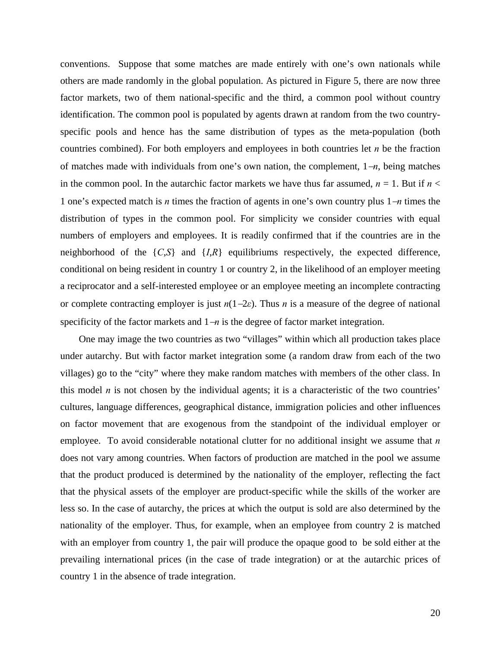conventions. Suppose that some matches are made entirely with one's own nationals while others are made randomly in the global population. As pictured in Figure 5, there are now three factor markets, two of them national-specific and the third, a common pool without country identification. The common pool is populated by agents drawn at random from the two countryspecific pools and hence has the same distribution of types as the meta-population (both countries combined). For both employers and employees in both countries let *n* be the fraction of matches made with individuals from one's own nation, the complement, 1−*n*, being matches in the common pool. In the autarchic factor markets we have thus far assumed,  $n = 1$ . But if  $n <$ 1 one's expected match is *n* times the fraction of agents in one's own country plus 1−*n* times the distribution of types in the common pool. For simplicity we consider countries with equal numbers of employers and employees. It is readily confirmed that if the countries are in the neighborhood of the {*C*,*S*} and {*I*,*R*} equilibriums respectively, the expected difference, conditional on being resident in country 1 or country 2, in the likelihood of an employer meeting a reciprocator and a self-interested employee or an employee meeting an incomplete contracting or complete contracting employer is just  $n(1–2\varepsilon)$ . Thus *n* is a measure of the degree of national specificity of the factor markets and 1–*n* is the degree of factor market integration.

One may image the two countries as two "villages" within which all production takes place under autarchy. But with factor market integration some (a random draw from each of the two villages) go to the "city" where they make random matches with members of the other class. In this model *n* is not chosen by the individual agents; it is a characteristic of the two countries' cultures, language differences, geographical distance, immigration policies and other influences on factor movement that are exogenous from the standpoint of the individual employer or employee. To avoid considerable notational clutter for no additional insight we assume that *n* does not vary among countries. When factors of production are matched in the pool we assume that the product produced is determined by the nationality of the employer, reflecting the fact that the physical assets of the employer are product-specific while the skills of the worker are less so. In the case of autarchy, the prices at which the output is sold are also determined by the nationality of the employer. Thus, for example, when an employee from country 2 is matched with an employer from country 1, the pair will produce the opaque good to be sold either at the prevailing international prices (in the case of trade integration) or at the autarchic prices of country 1 in the absence of trade integration.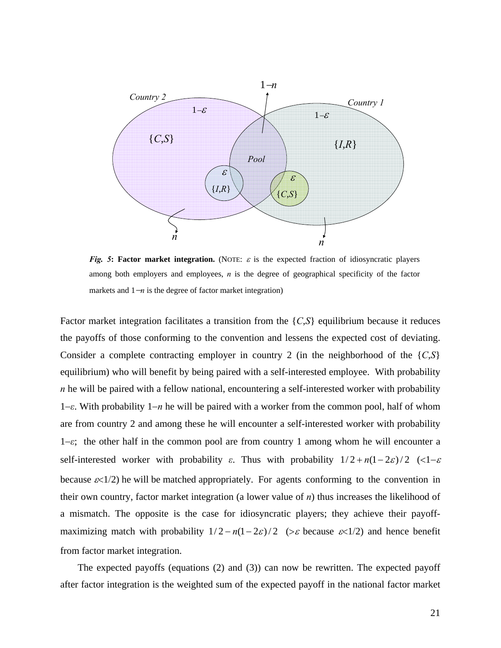

*Fig.* **5: Factor market integration.** (NOTE:  $\varepsilon$  is the expected fraction of idiosyncratic players among both employers and employees, *n* is the degree of geographical specificity of the factor markets and 1−*n* is the degree of factor market integration)

Factor market integration facilitates a transition from the {*C*,*S*} equilibrium because it reduces the payoffs of those conforming to the convention and lessens the expected cost of deviating. Consider a complete contracting employer in country 2 (in the neighborhood of the {*C*,*S*} equilibrium) who will benefit by being paired with a self-interested employee. With probability *n* he will be paired with a fellow national, encountering a self-interested worker with probability 1−*ε*. With probability 1−*n* he will be paired with a worker from the common pool, half of whom are from country 2 and among these he will encounter a self-interested worker with probability 1−*ε*; the other half in the common pool are from country 1 among whom he will encounter a self-interested worker with probability  $\varepsilon$ . Thus with probability  $1/2 + n(1-2\varepsilon)/2$  (<1- $\varepsilon$ because  $\varepsilon$ <1/2) he will be matched appropriately. For agents conforming to the convention in their own country, factor market integration (a lower value of *n*) thus increases the likelihood of a mismatch. The opposite is the case for idiosyncratic players; they achieve their payoffmaximizing match with probability  $1/2 - n(1 - 2\varepsilon)/2$  (>  $\varepsilon$  because  $\varepsilon$ <1/2) and hence benefit from factor market integration.

The expected payoffs (equations (2) and (3)) can now be rewritten. The expected payoff after factor integration is the weighted sum of the expected payoff in the national factor market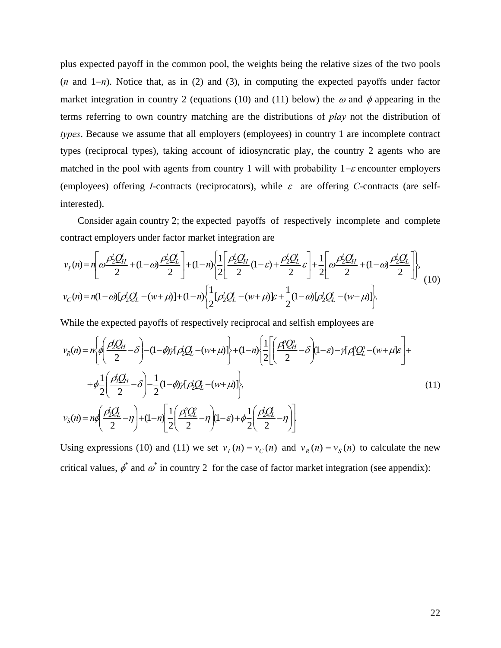plus expected payoff in the common pool, the weights being the relative sizes of the two pools (*n* and 1−*n*). Notice that, as in (2) and (3), in computing the expected payoffs under factor market integration in country 2 (equations (10) and (11) below) the  $\omega$  and  $\phi$  appearing in the terms referring to own country matching are the distributions of *play* not the distribution of *types*. Because we assume that all employers (employees) in country 1 are incomplete contract types (reciprocal types), taking account of idiosyncratic play, the country 2 agents who are matched in the pool with agents from country 1 will with probability  $1-\varepsilon$  encounter employers (employees) offering *I*-contracts (reciprocators), while  $\varepsilon$  are offering *C*-contracts (are selfinterested).

Consider again country 2; the expected payoffs of respectively incomplete and complete contract employers under factor market integration are

$$
v_I(n) = n\left[\omega \frac{\rho_2' Q_H'}{2} + (1 - \omega) \frac{\rho_2' Q_L'}{2}\right] + (1 - n) \left\{\frac{1}{2} \left[\frac{\rho_2' Q_H'}{2} (1 - \varepsilon) + \frac{\rho_2' Q_L'}{2} \varepsilon\right] + \frac{1}{2} \left[\omega \frac{\rho_2' Q_H'}{2} + (1 - \omega) \frac{\rho_2' Q_L'}{2}\right]\right\},\tag{10}
$$
  

$$
v_C(n) = n(1 - \omega) [\rho_2' Q_L' - (w + \mu)] + (1 - n) \left\{\frac{1}{2} [\rho_2' Q_L' - (w + \mu)] \varepsilon + \frac{1}{2} (1 - \omega) [\rho_2' Q_L' - (w + \mu)]\right\}.
$$

While the expected payoffs of respectively reciprocal and selfish employees are

$$
v_R(n) = n \left\{ \theta \left( \frac{\rho_2' Q_H}{2} - \delta \right) - (1 - \phi) \gamma_1 \rho_2' Q_L - (w + \mu) \right\} + (1 - n) \left\{ \frac{1}{2} \left[ \left( \frac{\rho_1' Q_H}{2} - \delta \right) (1 - \varepsilon) - \gamma_1 \rho_1' Q_L' - (w + \mu) \varepsilon \right] + \phi \frac{1}{2} \left( \frac{\rho_2' Q_H}{2} - \delta \right) - \frac{1}{2} (1 - \phi) \gamma_1 \rho_2' Q_L - (w + \mu) \right\},\tag{11}
$$
\n
$$
v_S(n) = n \theta \left( \frac{\rho_2' Q_L}{2} - \eta \right) + (1 - n) \left[ \frac{1}{2} \left( \frac{\rho_1' Q_L'}{2} - \eta \right) (1 - \varepsilon) + \phi \frac{1}{2} \left( \frac{\rho_2' Q_L'}{2} - \eta \right) \right]
$$

Using expressions (10) and (11) we set  $v_I(n) = v_C(n)$  and  $v_R(n) = v_S(n)$  to calculate the new critical values,  $\phi^*$  and  $\omega^*$  in country 2 for the case of factor market integration (see appendix):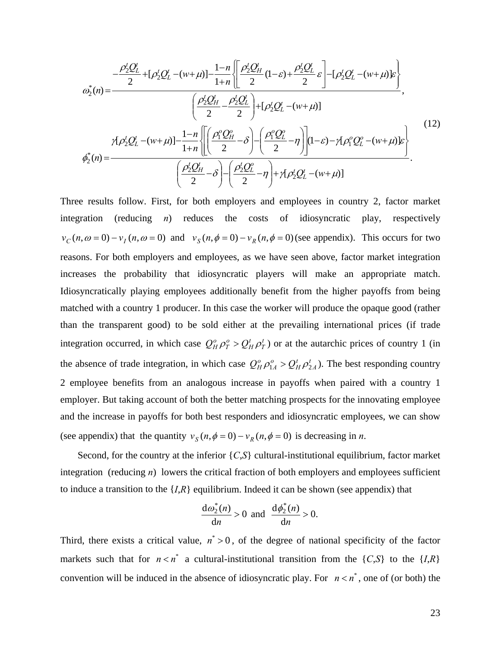$$
\omega_{2}^{*}(n) = \frac{-\frac{\rho_{2}^{t}Q_{L}^{t}}{2} + [\rho_{2}^{t}Q_{L}^{t} - (w + \mu)] - \frac{1-n}{1+n} \left\{ \frac{\rho_{2}^{t}Q_{H}^{t}}{2}(1-\varepsilon) + \frac{\rho_{2}^{t}Q_{L}^{t}}{2}\varepsilon \right\} - [\rho_{2}^{t}Q_{L}^{t} - (w + \mu)]\varepsilon}{\left(\frac{\rho_{2}^{t}Q_{H}^{t}}{2} - \frac{\rho_{2}^{t}Q_{L}^{t}}{2}\right) + [\rho_{2}^{t}Q_{L}^{t} - (w + \mu)]},
$$
\n
$$
\gamma_{1}\rho_{2}^{t}Q_{L}^{t} - (w + \mu)] - \frac{1-n}{1+n} \left\{ \left[\frac{\rho_{1}^{0}Q_{H}^{0}}{2} - \delta\right] - \left(\frac{\rho_{1}^{0}Q_{L}^{0}}{2} - \eta\right) \right](1-\varepsilon) - \gamma_{1}\rho_{1}^{0}Q_{L}^{0} - (w + \mu)\varepsilon \right\}.
$$
\n
$$
\omega_{2}^{*}(n) = -\frac{\left(\frac{\rho_{2}^{t}Q_{H}^{t}}{2} - \delta\right) - \left(\frac{\rho_{2}^{t}Q_{L}^{0}}{2} - \eta\right) + \gamma_{1}\rho_{2}^{t}Q_{L}^{t} - (w + \mu)\varepsilon}{\left(\frac{\rho_{2}^{t}Q_{H}^{t}}{2} - \delta\right) - \left(\frac{\rho_{2}^{t}Q_{L}^{0}}{2} - \eta\right) + \gamma_{1}\rho_{2}^{t}Q_{L}^{t} - (w + \mu)\varepsilon}.
$$
\n(12)

Three results follow. First, for both employers and employees in country 2, factor market integration (reducing *n*) reduces the costs of idiosyncratic play, respectively  $v_c(n, \omega = 0) - v_l(n, \omega = 0)$  and  $v_s(n, \phi = 0) - v_R(n, \phi = 0)$  (see appendix). This occurs for two reasons. For both employers and employees, as we have seen above, factor market integration increases the probability that idiosyncratic players will make an appropriate match. Idiosyncratically playing employees additionally benefit from the higher payoffs from being matched with a country 1 producer. In this case the worker will produce the opaque good (rather than the transparent good) to be sold either at the prevailing international prices (if trade integration occurred, in which case  $Q_H^o \rho_T^o > Q_H^t \rho_T^i$  or at the autarchic prices of country 1 (in the absence of trade integration, in which case  $Q_H^o \rho_A^o > Q_H^t \rho_{2A}^t$ . The best responding country 2 employee benefits from an analogous increase in payoffs when paired with a country 1 employer. But taking account of both the better matching prospects for the innovating employee and the increase in payoffs for both best responders and idiosyncratic employees, we can show (see appendix) that the quantity  $v_s(n, \phi = 0) - v_R(n, \phi = 0)$  is decreasing in *n*.

Second, for the country at the inferior {*C*,*S*} cultural-institutional equilibrium, factor market integration (reducing *n*) lowers the critical fraction of both employers and employees sufficient to induce a transition to the {*I*,*R*} equilibrium. Indeed it can be shown (see appendix) that

$$
\frac{d\omega_2^*(n)}{dn} > 0 \text{ and } \frac{d\phi_2^*(n)}{dn} > 0.
$$

Third, there exists a critical value,  $n^* > 0$ , of the degree of national specificity of the factor markets such that for  $n < n^*$  a cultural-institutional transition from the  $\{C, S\}$  to the  $\{I, R\}$ convention will be induced in the absence of idiosyncratic play. For  $n < n^*$ , one of (or both) the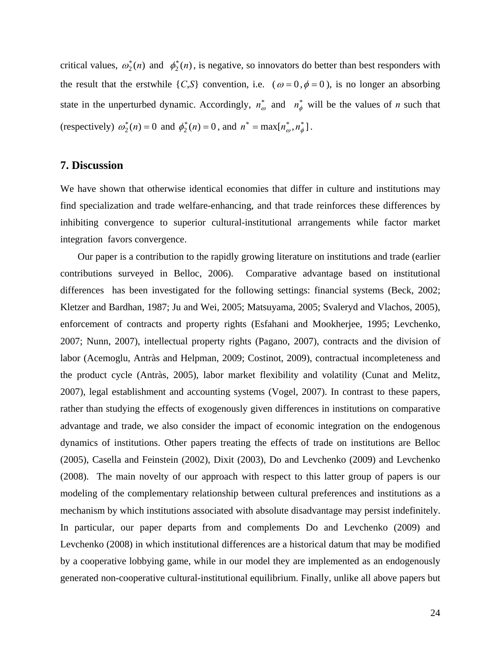critical values,  $\omega_2^*(n)$  and  $\phi_2^*(n)$ , is negative, so innovators do better than best responders with the result that the erstwhile  $\{C, S\}$  convention, i.e.  $(\omega = 0, \phi = 0)$ , is no longer an absorbing state in the unperturbed dynamic. Accordingly,  $n_{\omega}^*$  and  $n_{\phi}^*$  will be the values of *n* such that (respectively)  $\omega_2^*(n) = 0$  and  $\phi_2^*(n) = 0$ , and  $n^* = \max[n_{\omega}^*, n_{\phi}^*]$ .

#### **7. Discussion**

We have shown that otherwise identical economies that differ in culture and institutions may find specialization and trade welfare-enhancing, and that trade reinforces these differences by inhibiting convergence to superior cultural-institutional arrangements while factor market integration favors convergence.

Our paper is a contribution to the rapidly growing literature on institutions and trade (earlier contributions surveyed in Belloc, 2006). Comparative advantage based on institutional differences has been investigated for the following settings: financial systems (Beck, 2002; Kletzer and Bardhan, 1987; Ju and Wei, 2005; Matsuyama, 2005; Svaleryd and Vlachos, 2005), enforcement of contracts and property rights (Esfahani and Mookherjee, 1995; Levchenko, 2007; Nunn, 2007), intellectual property rights (Pagano, 2007), contracts and the division of labor (Acemoglu, Antràs and Helpman, 2009; Costinot, 2009), contractual incompleteness and the product cycle (Antràs, 2005), labor market flexibility and volatility (Cunat and Melitz, 2007), legal establishment and accounting systems (Vogel, 2007). In contrast to these papers, rather than studying the effects of exogenously given differences in institutions on comparative advantage and trade, we also consider the impact of economic integration on the endogenous dynamics of institutions. Other papers treating the effects of trade on institutions are Belloc (2005), Casella and Feinstein (2002), Dixit (2003), Do and Levchenko (2009) and Levchenko (2008). The main novelty of our approach with respect to this latter group of papers is our modeling of the complementary relationship between cultural preferences and institutions as a mechanism by which institutions associated with absolute disadvantage may persist indefinitely. In particular, our paper departs from and complements Do and Levchenko (2009) and Levchenko (2008) in which institutional differences are a historical datum that may be modified by a cooperative lobbying game, while in our model they are implemented as an endogenously generated non-cooperative cultural-institutional equilibrium. Finally, unlike all above papers but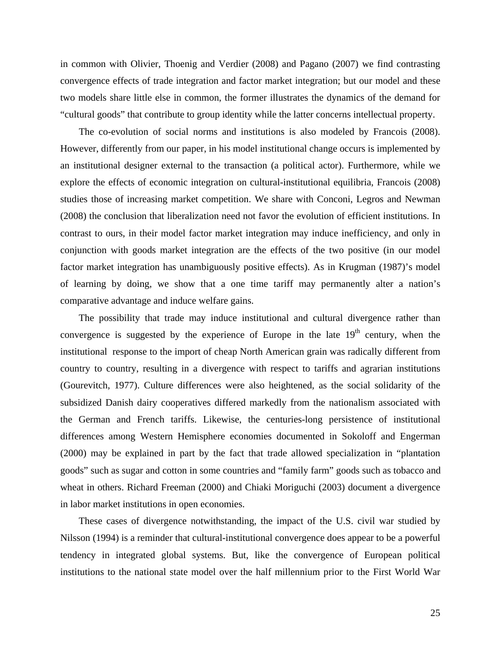in common with Olivier, Thoenig and Verdier (2008) and Pagano (2007) we find contrasting convergence effects of trade integration and factor market integration; but our model and these two models share little else in common, the former illustrates the dynamics of the demand for "cultural goods" that contribute to group identity while the latter concerns intellectual property.

The co-evolution of social norms and institutions is also modeled by Francois (2008). However, differently from our paper, in his model institutional change occurs is implemented by an institutional designer external to the transaction (a political actor). Furthermore, while we explore the effects of economic integration on cultural-institutional equilibria, Francois (2008) studies those of increasing market competition. We share with Conconi, Legros and Newman (2008) the conclusion that liberalization need not favor the evolution of efficient institutions. In contrast to ours, in their model factor market integration may induce inefficiency, and only in conjunction with goods market integration are the effects of the two positive (in our model factor market integration has unambiguously positive effects). As in Krugman (1987)'s model of learning by doing, we show that a one time tariff may permanently alter a nation's comparative advantage and induce welfare gains.

The possibility that trade may induce institutional and cultural divergence rather than convergence is suggested by the experience of Europe in the late  $19<sup>th</sup>$  century, when the institutional response to the import of cheap North American grain was radically different from country to country, resulting in a divergence with respect to tariffs and agrarian institutions (Gourevitch, 1977). Culture differences were also heightened, as the social solidarity of the subsidized Danish dairy cooperatives differed markedly from the nationalism associated with the German and French tariffs. Likewise, the centuries-long persistence of institutional differences among Western Hemisphere economies documented in Sokoloff and Engerman (2000) may be explained in part by the fact that trade allowed specialization in "plantation goods" such as sugar and cotton in some countries and "family farm" goods such as tobacco and wheat in others. Richard Freeman (2000) and Chiaki Moriguchi (2003) document a divergence in labor market institutions in open economies.

These cases of divergence notwithstanding, the impact of the U.S. civil war studied by Nilsson (1994) is a reminder that cultural-institutional convergence does appear to be a powerful tendency in integrated global systems. But, like the convergence of European political institutions to the national state model over the half millennium prior to the First World War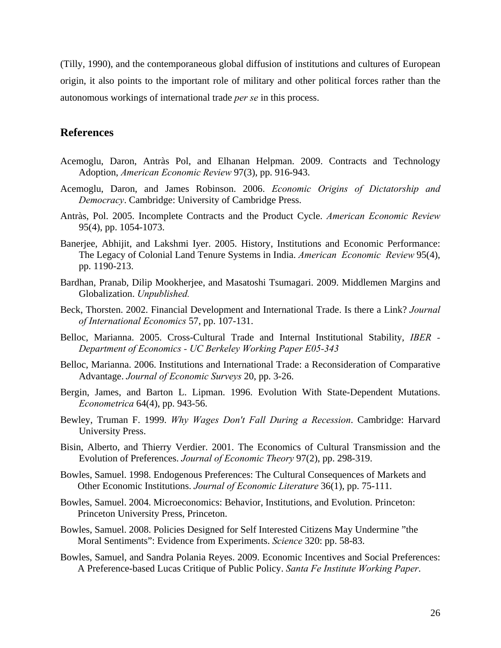(Tilly, 1990), and the contemporaneous global diffusion of institutions and cultures of European origin, it also points to the important role of military and other political forces rather than the autonomous workings of international trade *per se* in this process.

#### **References**

- Acemoglu, Daron, Antràs Pol, and Elhanan Helpman. 2009. Contracts and Technology Adoption, *American Economic Review* 97(3), pp. 916-943.
- Acemoglu, Daron, and James Robinson. 2006. *Economic Origins of Dictatorship and Democracy*. Cambridge: University of Cambridge Press.
- Antràs, Pol. 2005. Incomplete Contracts and the Product Cycle. *American Economic Review*  95(4), pp. 1054-1073.
- Banerjee, Abhijit, and Lakshmi Iyer. 2005. History, Institutions and Economic Performance: The Legacy of Colonial Land Tenure Systems in India. *American Economic Review* 95(4), pp. 1190-213.
- Bardhan, Pranab, Dilip Mookherjee, and Masatoshi Tsumagari. 2009. Middlemen Margins and Globalization. *Unpublished.*
- Beck, Thorsten. 2002. Financial Development and International Trade. Is there a Link? *Journal of International Economics* 57, pp. 107-131.
- Belloc, Marianna. 2005. Cross-Cultural Trade and Internal Institutional Stability, *IBER Department of Economics - UC Berkeley Working Paper E05-343*
- Belloc, Marianna. 2006. Institutions and International Trade: a Reconsideration of Comparative Advantage. *Journal of Economic Surveys* 20, pp. 3-26.
- Bergin, James, and Barton L. Lipman. 1996. Evolution With State-Dependent Mutations. *Econometrica* 64(4), pp. 943-56.
- Bewley, Truman F. 1999. *Why Wages Don't Fall During a Recession*. Cambridge: Harvard University Press.
- Bisin, Alberto, and Thierry Verdier. 2001. The Economics of Cultural Transmission and the Evolution of Preferences. *Journal of Economic Theory* 97(2), pp. 298-319.
- Bowles, Samuel. 1998. Endogenous Preferences: The Cultural Consequences of Markets and Other Economic Institutions. *Journal of Economic Literature* 36(1), pp. 75-111.
- Bowles, Samuel. 2004. Microeconomics: Behavior, Institutions, and Evolution. Princeton: Princeton University Press, Princeton.
- Bowles, Samuel. 2008. Policies Designed for Self Interested Citizens May Undermine "the Moral Sentiments": Evidence from Experiments. *Science* 320: pp. 58-83.
- Bowles, Samuel, and Sandra Polania Reyes. 2009. Economic Incentives and Social Preferences: A Preference-based Lucas Critique of Public Policy. *Santa Fe Institute Working Paper*.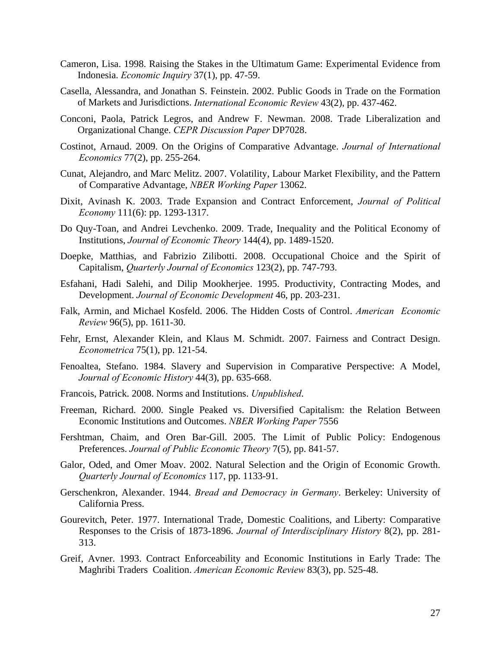- Cameron, Lisa. 1998. Raising the Stakes in the Ultimatum Game: Experimental Evidence from Indonesia. *Economic Inquiry* 37(1), pp. 47-59.
- Casella, Alessandra, and Jonathan S. Feinstein. 2002. Public Goods in Trade on the Formation of Markets and Jurisdictions. *International Economic Review* 43(2), pp. 437-462.
- Conconi, Paola, Patrick Legros, and Andrew F. Newman. 2008. Trade Liberalization and Organizational Change. *CEPR Discussion Paper* DP7028.
- Costinot, Arnaud. 2009. On the Origins of Comparative Advantage. *Journal of International Economics* 77(2), pp. 255-264.
- Cunat, Alejandro, and Marc Melitz. 2007. Volatility, Labour Market Flexibility, and the Pattern of Comparative Advantage, *NBER Working Paper* 13062.
- Dixit, Avinash K. 2003. Trade Expansion and Contract Enforcement, *Journal of Political Economy* 111(6): pp. 1293-1317.
- Do Quy-Toan, and Andrei Levchenko. 2009. Trade, Inequality and the Political Economy of Institutions, *Journal of Economic Theory* 144(4), pp. 1489-1520.
- Doepke, Matthias, and Fabrizio Zilibotti. 2008. Occupational Choice and the Spirit of Capitalism, *Quarterly Journal of Economics* 123(2), pp. 747-793.
- Esfahani, Hadi Salehi, and Dilip Mookherjee. 1995. Productivity, Contracting Modes, and Development. *Journal of Economic Development* 46, pp. 203-231.
- Falk, Armin, and Michael Kosfeld. 2006. The Hidden Costs of Control. *American Economic Review* 96(5), pp. 1611-30.
- Fehr, Ernst, Alexander Klein, and Klaus M. Schmidt. 2007. Fairness and Contract Design. *Econometrica* 75(1), pp. 121-54.
- Fenoaltea, Stefano. 1984. Slavery and Supervision in Comparative Perspective: A Model, *Journal of Economic History* 44(3), pp. 635-668.
- Francois, Patrick. 2008. Norms and Institutions. *Unpublished*.
- Freeman, Richard. 2000. Single Peaked vs. Diversified Capitalism: the Relation Between Economic Institutions and Outcomes. *NBER Working Paper* 7556
- Fershtman, Chaim, and Oren Bar-Gill. 2005. The Limit of Public Policy: Endogenous Preferences. *Journal of Public Economic Theory* 7(5), pp. 841-57.
- Galor, Oded, and Omer Moav. 2002. Natural Selection and the Origin of Economic Growth. *Quarterly Journal of Economics* 117, pp. 1133-91.
- Gerschenkron, Alexander. 1944. *Bread and Democracy in Germany*. Berkeley: University of California Press.
- Gourevitch, Peter. 1977. International Trade, Domestic Coalitions, and Liberty: Comparative Responses to the Crisis of 1873-1896. *Journal of Interdisciplinary History* 8(2), pp. 281- 313.
- Greif, Avner. 1993. Contract Enforceability and Economic Institutions in Early Trade: The Maghribi Traders Coalition. *American Economic Review* 83(3), pp. 525-48.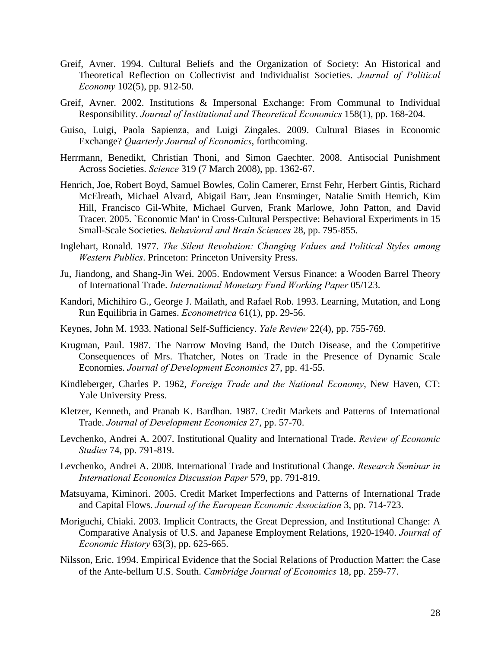- Greif, Avner. 1994. Cultural Beliefs and the Organization of Society: An Historical and Theoretical Reflection on Collectivist and Individualist Societies. *Journal of Political Economy* 102(5), pp. 912-50.
- Greif, Avner. 2002. Institutions & Impersonal Exchange: From Communal to Individual Responsibility. *Journal of Institutional and Theoretical Economics* 158(1), pp. 168-204.
- Guiso, Luigi, Paola Sapienza, and Luigi Zingales. 2009. Cultural Biases in Economic Exchange? *Quarterly Journal of Economics*, forthcoming.
- Herrmann, Benedikt, Christian Thoni, and Simon Gaechter. 2008. Antisocial Punishment Across Societies. *Science* 319 (7 March 2008), pp. 1362-67.
- Henrich, Joe, Robert Boyd, Samuel Bowles, Colin Camerer, Ernst Fehr, Herbert Gintis, Richard McElreath, Michael Alvard, Abigail Barr, Jean Ensminger, Natalie Smith Henrich, Kim Hill, Francisco Gil-White, Michael Gurven, Frank Marlowe, John Patton, and David Tracer. 2005. `Economic Man' in Cross-Cultural Perspective: Behavioral Experiments in 15 Small-Scale Societies. *Behavioral and Brain Sciences* 28, pp. 795-855.
- Inglehart, Ronald. 1977. *The Silent Revolution: Changing Values and Political Styles among Western Publics*. Princeton: Princeton University Press.
- Ju, Jiandong, and Shang-Jin Wei. 2005. Endowment Versus Finance: a Wooden Barrel Theory of International Trade. *International Monetary Fund Working Paper* 05/123.
- Kandori, Michihiro G., George J. Mailath, and Rafael Rob. 1993. Learning, Mutation, and Long Run Equilibria in Games. *Econometrica* 61(1), pp. 29-56.
- Keynes, John M. 1933. National Self-Sufficiency. *Yale Review* 22(4), pp. 755-769.
- Krugman, Paul. 1987. The Narrow Moving Band, the Dutch Disease, and the Competitive Consequences of Mrs. Thatcher, Notes on Trade in the Presence of Dynamic Scale Economies. *Journal of Development Economics* 27, pp. 41-55.
- Kindleberger, Charles P. 1962, *Foreign Trade and the National Economy*, New Haven, CT: Yale University Press.
- Kletzer, Kenneth, and Pranab K. Bardhan. 1987. Credit Markets and Patterns of International Trade. *Journal of Development Economics* 27, pp. 57-70.
- Levchenko, Andrei A. 2007. Institutional Quality and International Trade. *Review of Economic Studies* 74, pp. 791-819.
- Levchenko, Andrei A. 2008. International Trade and Institutional Change. *Research Seminar in International Economics Discussion Paper* 579, pp. 791-819.
- Matsuyama, Kiminori. 2005. Credit Market Imperfections and Patterns of International Trade and Capital Flows. *Journal of the European Economic Association* 3, pp. 714-723.
- Moriguchi, Chiaki. 2003. Implicit Contracts, the Great Depression, and Institutional Change: A Comparative Analysis of U.S. and Japanese Employment Relations, 1920-1940. *Journal of Economic History* 63(3), pp. 625-665.
- Nilsson, Eric. 1994. Empirical Evidence that the Social Relations of Production Matter: the Case of the Ante-bellum U.S. South. *Cambridge Journal of Economics* 18, pp. 259-77.